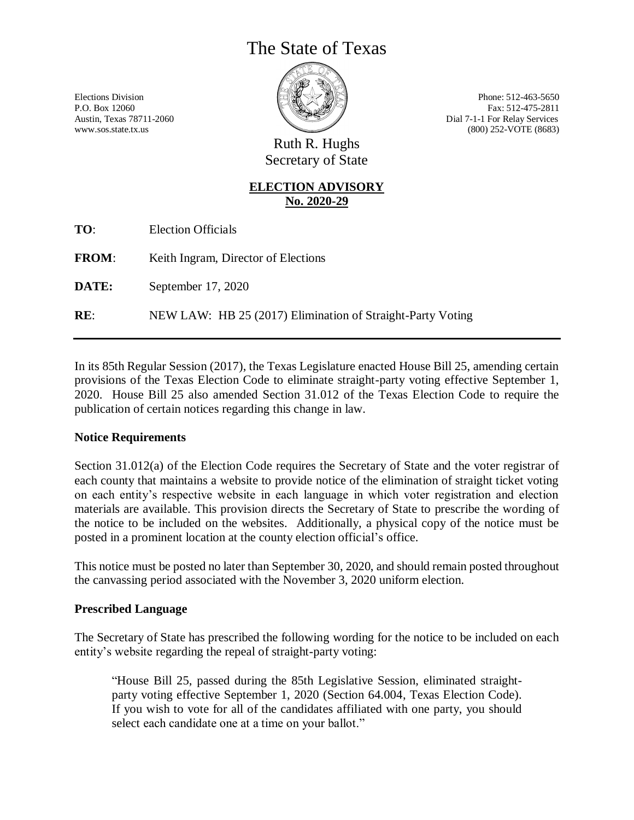# The State of Texas

Elections Division Phone: 512-463-5650 P.O. Box 12060 Fax: 512-475-2811 Austin, Texas 78711-2060 Dial 7-1-1 For Relay Services www.sos.state.tx.us (800) 252-VOTE (8683)

> Ruth R. Hughs Secretary of State

## **ELECTION ADVISORY No. 2020-29**

| <b>Election Officials</b> |
|---------------------------|

**FROM:** Keith Ingram, Director of Elections

**DATE:** September 17, 2020

**RE**: NEW LAW: HB 25 (2017) Elimination of Straight-Party Voting

In its 85th Regular Session (2017), the Texas Legislature enacted House Bill 25, amending certain provisions of the Texas Election Code to eliminate straight-party voting effective September 1, 2020. House Bill 25 also amended Section 31.012 of the Texas Election Code to require the publication of certain notices regarding this change in law.

#### **Notice Requirements**

Section 31.012(a) of the Election Code requires the Secretary of State and the voter registrar of each county that maintains a website to provide notice of the elimination of straight ticket voting on each entity's respective website in each language in which voter registration and election materials are available. This provision directs the Secretary of State to prescribe the wording of the notice to be included on the websites. Additionally, a physical copy of the notice must be posted in a prominent location at the county election official's office.

This notice must be posted no later than September 30, 2020, and should remain posted throughout the canvassing period associated with the November 3, 2020 uniform election.

#### **Prescribed Language**

The Secretary of State has prescribed the following wording for the notice to be included on each entity's website regarding the repeal of straight-party voting:

"House Bill 25, passed during the 85th Legislative Session, eliminated straightparty voting effective September 1, 2020 (Section 64.004, Texas Election Code). If you wish to vote for all of the candidates affiliated with one party, you should select each candidate one at a time on your ballot."